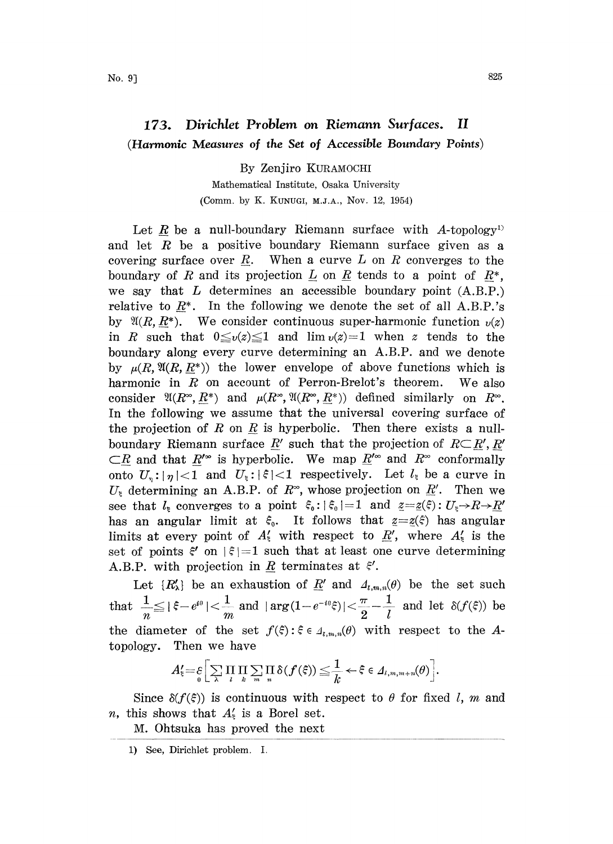## 173. Dirichlet Problem on Riemann Surfaces. II (Harmonic Measures of the Set of Accessible Boundary Points)

By Zenjiro KURAMOCH Mathematical Institute, Osaka University (Comm. by K. KUNUGI, M.J.A., Nov. 12, 1954)

Let R be a null-boundary Riemann surface with A-topology<sup>1)</sup> and let  $R$  be a positive boundary Riemann surface given as a covering surface over R. When a curve L on R converges to the boundary of R and its projection  $\underline{L}$  on  $\underline{R}$  tends to a point of  $\underline{R}^*$ , we say that  $L$  determines an accessible boundary point  $(A.B.P.)$ relative to  $R^*$ . In the following we denote the set of all A.B.P.'s by  $\mathfrak{A}(R, R^*)$ . We consider continuous super-harmonic function  $\nu(z)$ in R such that  $0 \le v(z) \le 1$  and  $\lim v(z)=1$  when z tends to the boundary along every curve determining an A.B.P. and we denote by  $\mu(R, \mathfrak{A}(R, R^*))$  the lower envelope of above functions which is harmonic in  $R$  on account of Perron-Brelot's theorem. We also consider  $\mathfrak{A}(R^{\infty}, \underline{R}^*)$  and  $\mu(R^{\infty}, \mathfrak{A}(R^{\infty}, \underline{R}^*))$  defined similarly on  $R^{\infty}$ . In the following we assume that the universal covering surface of the projection of R on  $R$  is hyperbolic. Then there exists a nullboundary Riemann surface R' such that the projection of  $R\subset R', R'$  $\subset R$  and that  $R^{\infty}$  is hyperbolic. We map  $\underline{R}^{\infty}$  and  $R^{\infty}$  conformally onto  $U_{\gamma}: |\eta| < 1$  and  $U_{\xi}: |\xi| < 1$  respectively. Let  $l_{\xi}$  be a curve in  $U_{\xi}$  determining an A.B.P. of  $R^{\infty}$ , whose projection on  $\underline{R}^{\prime}$ . Then we see that  $l_k$  converges to a point  $\xi_0: |\xi_0|=1$  and  $\underline{z}=\underline{z}(\xi): U_k \to R \to \underline{R}$ has an angular limit at  $\xi_0$ . It follows that  $z=z(\xi)$  has angular limits at every point of  $A'_\n\t{t}$  with respect to  $\underline{R}'$ , where  $A'_\n\t{t}$  is the set of points  $\xi'$  on  $|\xi|=1$  such that at least one curve determining A.B.P. with projection in  $\underline{R}$  terminates at  $\xi'$ .

Let  $\{R'_\lambda\}$  be an exhaustion of  $\underline{R}'$  and  $A_{t,m,n}(\theta)$  be the set such that  $\frac{1}{n} \leq |\xi - e^{i\theta}| < \frac{1}{m}$  and  $|\arg(1 - e^{-i\theta}\xi)| < \frac{\pi}{2} - \frac{1}{l}$  and let  $\delta(f(\xi))$  be the diameter of the set  $f(\xi): \xi \in A_{t,m,n}(\theta)$  with respect to the Atopology. Then we have

$$
A_{\xi} = \varepsilon \Biggl[ \sum_{\lambda} \prod_{l} \prod_{k} \sum_{m} \prod_{n} \delta(f(\xi)) \leq \frac{1}{k} \leftarrow \xi \in \Lambda_{l,m,m+n}(\theta) \Biggr].
$$

Since  $\delta(f(\xi))$  is continuous with respect to  $\theta$  for fixed l, m and *n*, this shows that  $A_{\xi}$  is a Borel set.

M. Ohtsuka has proved the next

<sup>1)</sup> See, Dirichlet problem. I.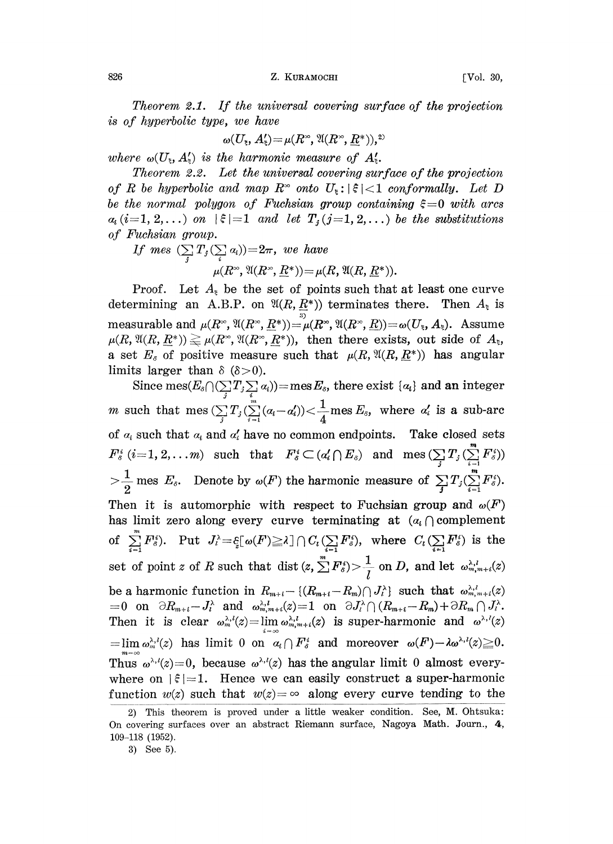826 **Z. KURAMOCHI FVol. 30,** 

Theorem 2.1. If the universal covering surface of the projection is of hyperbolic type, we have

$$
\omega(U_{\rm B},A'_{\rm B})\!=\!\mu(R^{\rm B},\mathfrak{A}(R^{\rm B},\underline{R}^{\rm B})),^2
$$

where  $\omega(U_{\epsilon}, A_{\epsilon}')$  is the harmonic measure of  $A_{\epsilon}'$ .

Theorem 2.2. Let the universal covering surface of the projection of R be hyperbolic and map  $R^{\infty}$  onto  $U_{\epsilon}: |\xi| < 1$  conformally. Let D be the normal polygon of Fuchsian group containing  $\xi = 0$  with arcs  $a_i$  (i=1, 2,...) on  $|\xi|=1$  and let  $T_j$  (j=1, 2,...) be the substitutions of Fuchsian group.

If mes  $(\sum_i T_j(\sum_i a_i))=2\pi$ , we have  $\mu(R^{\infty}, \mathfrak{A}(R^{\infty}, \underline{R}^*)) = \mu(R, \mathfrak{A}(R, \underline{R}^*)$ <br>he the set of points such the )).

Proof. Let  $A_{\varepsilon}$  be the set of points such that at least one curve determining an A.B.P. on  $\mathfrak{A}(R, \underline{R^*})$  terminates there. Then  $A_{\xi}$  is measurable and  $\mu(R^{\infty}, \mathfrak{A}(R^{\infty}, \underline{R}^*)) = \mu(R^{\infty}, \mathfrak{A}(R^{\infty}, \underline{R})) = \omega(U_{\epsilon}, A_{\epsilon}).$  Assume  $\mu(R, \mathfrak{A}(R, \underline{R}^*)) \gtrapprox \mu(R^{\infty}, \mathfrak{A}(R^{\infty}, \underline{R}^*))$ , then there exists, out side of  $A_{\mathfrak{z}},$ a set  $E_s$  of positive measure such that  $\mu(R, \mathfrak{A}(R, \underline{R}^*))$  has angular limits larger than  $\delta$  ( $\delta$ >0).

Since mes $(E_{\delta} \cap (\sum_{i} T_{i} \sum_{i} a_{i}))$  = mes  $E_{\delta}$ , there exist  $\{a_{i}\}$  and an integer m such that mes  $(\sum_i T_i(\sum_{i=1}^m (a_i - a'_i)) < \frac{1}{4}$  mes  $E_s$ , where  $a'_i$  is a sub-arc of  $\alpha_i$  such that  $\alpha_i$  and  $\alpha'_i$  have no common endpoints. Take closed sets  $F_s^i$  (i=1, 2,...m) such that  $F_s^i \subset (a_i' \cap E_s)$  and  $\text{mes}(\sum_j T_j(\sum_{i=1}^m F_s^i))$  $>$  $\frac{1}{2}$  mes  $E_{\delta}$ . Denote by  $\omega(F)$  the harmonic measure of  $\sum_{j} T_j(\sum_{i=1}^{m} F_{\delta}^i)$ . Then it is automorphic with respect to Fuchsian group and  $\omega(F)$ has limit zero along every curve terminating at  $(a_i \cap \text{complement})$ of  $\sum_{i=1}^n F_\delta^i$ . Put  $J_i = \frac{\varepsilon}{2} [\omega(F)] \geq \lambda \log I_i$  where  $C_i (\sum_{i=1}^n F_\delta^i)$  is the set of point z of R such that dist  $(z, \sum_{l}^{m} F_s^s) > \frac{1}{l}$  on D, and let  $\omega_{m,m+i}^{\lambda,l}(z)$ be a harmonic function in  $R_{m+i} = \{(R_{m+i} - R_m) \cap J_i^{\lambda}\}\$  such that  $\omega_{m,m+i}^{\lambda,l}(z)$ <br>=0 on  $\partial R_{m+i} - J_i^{\lambda}$  and  $\omega_{m,m+i}^{\lambda,l}(z) = 1$  on  $\partial J_i^{\lambda} \cap (R_{m+i} - R_m) + \partial R_m \cap J_i^{\lambda}$ . Then it is clear  $\omega_m^{\lambda,l}(z) = \lim_{i \to \infty} \omega_{m,m+i}^{\lambda,l}(z)$  is super-harmonic and  $\omega^{\lambda,l}(z)$  $\ell = \lim_{\omega_n^{ \lambda, l}(z)}$  has limit 0 on  $\alpha_i \cap F_\delta^i$  and moreover  $\omega(F) - \lambda \omega^{\lambda, l}(z) \geq 0$ . Thus  $\omega^{\lambda,\ell}(z)=0$ , because  $\omega^{\lambda,\ell}(z)$  has the angular limit 0 almost everywhere on  $|\xi|=1$ . Hence we can easily construct a super-harmonic function  $w(z)$  such that  $w(z) = \infty$  along every curve tending to the

<sup>2)</sup> This theorem is proved under a little weaker condition. See, M. Ohtsuka: On covering surfaces over an abstract Riemann surface, Nagoya Math. Journ., 4, 109-118 (1952).

<sup>3)</sup> See 5).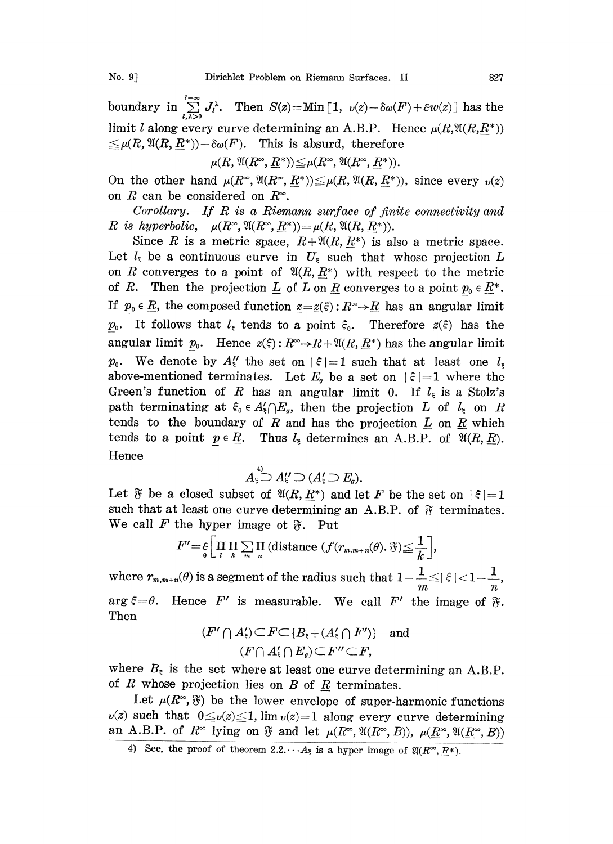boundary in  $\sum_{l,\lambda>0}^{l=\infty} J_l^{\lambda}$ . Then  $S(z) =$ Min [1,  $v(z) - \delta \omega(F) + \varepsilon w(z)$ ] has the limit l along every curve determining an A.B.P. Hence  $\mu(R,\mathfrak{A}(R,R^*))$  $\leq \mu(R,\mathfrak{A}(R,\underline{R}^*))-\delta \omega(F)$ . This is absurd, therefore

 $\mu(R, \mathfrak{A}(R^{\infty}, \underline{R}^*)) \leq \mu(R^{\infty}, \mathfrak{A}(R^{\infty}, R^*)).$ 

On the other hand  $\mu(R^{\infty}, \mathfrak{A}(R^{\infty}, R^*)) \leq \mu(R, \mathfrak{A}(R, R^*))$ , since every  $\nu(z)$ on R can be considered on  $R^{\infty}$ .

Corollary. If R is <sup>a</sup> Riemann surface of finite connectivity and R is hyperbolic,  $\mu(R^{\infty}, \mathfrak{A}(R^{\infty}, \underline{R^*}))=\mu(R, \mathfrak{A}(R, \underline{R^*})).$ 

Since R is a metric space,  $R+\mathfrak{A}(R, \underline{R}^*)$  is also a metric space. Let  $l_{\xi}$  be a continuous curve in  $U_{\xi}$  such that whose projection L on R converges to a point of  $\mathfrak{A}(R, \underline{R}_*)$  with respect to the metric of R. Then the projection  $\underline{L}$  of  $L$  on  $\underline{R}$  converges to a point  $p_0 \in \underline{R}^*$ . If  $p_0 \in \underline{R}$ , the composed function  $\underline{z}=\underline{z}(\xi):R^{\infty}\to \underline{R}$  has an angular limit  $p_0$ . It follows that  $l_{\xi}$  tends to a point  $\xi_0$ . Therefore  $\underline{z}(\xi)$  has the angular limit  $p_0$ . Hence  $z(\xi): R^{\infty} \to R+ \mathfrak{A}(R, R^*)$  has the angular limit  $p_0$ . We denote by  $A''_k$  the set on  $|\xi|=1$  such that at least one  $l_{\xi}$ above-mentioned terminates. Let  $E_g$  be a set on  $|\xi|=1$  where the Green's function of R has an angular limit 0. If  $l<sub>z</sub>$  is a Stolz's path terminating at  $\xi_0 \in A'_\xi \cap E_g$ , then the projection L of  $l_\xi$  on R tends to the boundary of R and has the projection  $L$  on  $R$  which tends to a point  $p \in \underline{R}$ . Thus  $l_{\xi}$  determines an A.B.P. of  $\mathfrak{A}(R, \underline{R})$ . Hence

$$
A_{\xi}^{\overset{4)}{\supset}} A_{\xi}^{\prime\prime} \supset (A_{\xi}^{\prime} \supset E_{g}).
$$

Let  $\mathfrak F$  be a closed subset of  $\mathfrak A(R, R^*)$  and let F be the set on  $|\xi| = 1$ such that at least one curve determining an A.B.P. of  $\delta$  terminates. We call F the hyper image ot  $\tilde{r}$ . Put

$$
F' = \varepsilon \left[ \prod_i \prod_k \sum_m \prod_n \left( \text{distance} \left( f(r_{m,m+n}(\theta), \mathfrak{F}) \leq \frac{1}{k} \right) \right],
$$

where  $r_{m,m+n}(\theta)$  is a segment of the radius such that  $1-\frac{1}{m}$   $\le$   $|\,\varepsilon\,|$   $<$   $1-\frac{1}{n}$ arg  $\xi = \theta$ . Hence F' is measurable. We call F' the image of  $\tilde{\sigma}$ . Then

$$
(F' \cap A_{\epsilon}^{\prime}) \subset F \subset \{B_{\epsilon} + (A_{\epsilon}^{\prime} \cap F^{\prime})\} \quad \text{and} \quad (F \cap A_{\epsilon}^{\prime} \cap E_{g}) \subset F^{\prime\prime} \subset F,
$$

where  $B_{\xi}$  is the set where at least one curve determining an A.B.P. of  $R$  whose projection lies on  $B$  of  $R$  terminates.

Let  $\mu(R^{\infty}, \mathfrak{F})$  be the lower envelope of super-harmonic functions  $v(z)$  such that  $0 \le v(z) \le 1$ , lim  $v(z)=1$  along every curve determining an A.B.P. of  $R^{\infty}$  lying on  $\mathfrak F$  and let  $\mu(R^{\infty}, \mathfrak A(R^{\infty}, B))$ ,  $\mu(\underline{R}^{\infty}, \mathfrak A(R^{\infty}, B))$ 

<sup>4)</sup> See, the proof of theorem  $2.2 \cdots A_{\xi}$  is a hyper image of  $\mathfrak{A}(R^{\infty}, R^*)$ .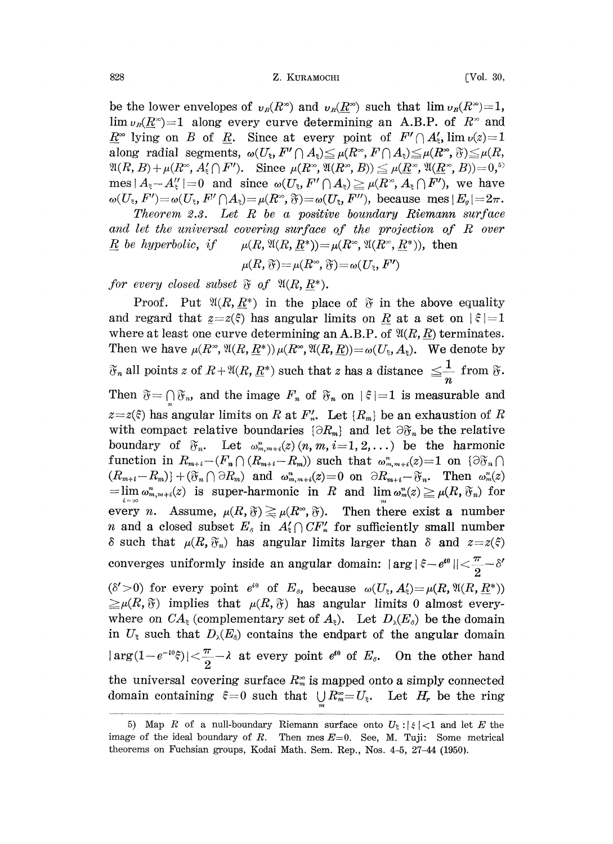828 **Z. KURAMOCHI** [Vol. 30,

be the lower envelopes of  $v_B(R^*)$  and  $v_B(R^*)$  such that  $\lim_{h \to 0} v_B(R^*)=1$ ,  $\lim_{v_R(R^\infty)=1$  along every curve determining an A.B.P. of  $R^\infty$  and  $\underline{R}^{\infty}$  lying on B of R. Since at every point of  $F' \cap A'_5$ ,  $\lim v(z)=1$ along radial segments,  $\omega(U_{\xi}, F' \cap A_{\xi}) \leq \mu(R^{\infty}, F \cap A_{\xi}) \leq \mu(R^{\infty}, \tilde{\sigma}) \leq \mu(R,$  $\mathfrak{A}(R, B) + \mu (R^{\infty}, A_{\xi}^{\prime} \cap F^{\prime}).$  Since  $\mu(R^{\infty}, \mathfrak{A}(R^{\infty}, B)) \leq \mu(\underline{R}^{\infty}, \mathfrak{A}(\underline{R}^{\infty}, B))=0,$ <sup>5)</sup> mes  $|A_{\xi}-A''_{\xi}|=0$  and since  $\omega(U_{\xi},F'\cap A_{\xi})\geq \mu(R^{*},A_{\xi}\cap F')$ , we have  $\omega(U_{\epsilon}, F') = \omega(U_{\epsilon}, F' \cap A_{\epsilon}) = \mu(R^{\infty}, \mathfrak{F}) = \omega(U_{\epsilon}, F''),$  because mes  $|E_{\alpha}| = 2\pi$ .

Theorem 2.3. Let  $R$  be a positive boundary Riemann surface and let the universal covering surface of the projection of R over R be hyperbolic, if  $\mu(R, \mathfrak{A}(R, R^*)) = \mu(R^{\infty}, \mathfrak{A}(R^{\infty}, R^*))$ , then

$$
\mu(R,\,\mathfrak{F}) = \mu(R^{\infty},\,\mathfrak{F}) = \omega(U_{\xi},\,F')
$$

for every closed subset  $\mathfrak F$  of  $\mathfrak A(R, R^*).$ 

Proof. Put  $\mathfrak{A}(R, R^*)$  in the place of  $\mathfrak{F}$  in the above equality and regard that  $z=z(\xi)$  has angular limits on R at a set on  $|\xi|=1$ where at least one curve determining an A.B.P. of  $\mathfrak{A}(R, R)$  terminates. Then we have  $\mu(R^*, \mathfrak{A}(R, \underline{R}^*))\mu(R^*, \mathfrak{A}(R, \underline{R}))=\omega(U_{\xi}, A_{\xi}).$  We denote by all points  $z$  of  $R+\mathfrak{A}(R,\underline{R}^*)$  such that  $z$  has a distance  $\leq\!\frac{1}{n}\,$  from  $\mathfrak{F}.$ Then  $\tilde{\sigma} = \bigcap \tilde{\sigma}_n$ , and the image  $F_n$  of  $\tilde{\sigma}_n$  on  $|\xi|=1$  is measurable and  $z=z(\xi)$  has angular limits on R at  $F'_n$ . Let  $\{R_m\}$  be an exhaustion of R with compact relative boundaries  $\{\partial R_m\}$  and let  $\partial \mathfrak{F}_n$  be the relative boundary of  $\mathfrak{F}_n$ . Let  $\omega_{m,m+i}^n(z)(n,m,i=1,2,\ldots)$  be the harmonic function in  $R_{m+i}-(F_n \cap (R_{m+i}-R_m))$  such that  $\omega_{m,m+i}^n(z)=1$  on  $\{\partial \mathfrak{F}_n\cap$  $(R_{m+i}-R_m)+(\mathfrak{F}_n\cap \partial R_m)$  and  $\omega_{m,m+i}^n(z)=0$  on  $\partial R_{m+i}-\mathfrak{F}_n$ . Then  $\omega_m^n(z)$ =lim  $\omega_{m,m+i}^n(z)$  is super-harmonic in R and lim $\omega_m^n(z)\geq \mu(R, \mathfrak{F}_n)$  for every *n*. Assume,  $\mu(R, \mathfrak{F}) \geq \mu(R^{\infty}, \mathfrak{F})$ . Then there exist a number *n* and a closed subset  $E_s$  in  $A_s \cap CF_n'$  for sufficiently small number  $\delta$  such that  $\mu(R, \mathfrak{F}_n)$  has angular limits larger than  $\delta$  and  $z=z(\xi)$ converges uniformly inside an angular domain:  $|\arg|\xi\!-\!e^{\imath\theta}\| \!<\!\frac{\pi}{2}\!-\!\delta'$  $(\delta' > 0)$  for every point  $e^{i\theta}$  of  $E_s$ , because  $\omega(U_{\epsilon}, A_{\epsilon}') = \mu(R, \mathfrak{A}(R, \underline{R}^*))$  $\geq \mu(R,\mathfrak{F})$  implies that  $\mu(R,\mathfrak{F})$  has angular limits 0 almost everywhere on  $CA_{\epsilon}$  (complementary set of  $A_{\epsilon}$ ). Let  $D_{\lambda}(E_{\delta})$  be the domain in  $U_{\xi}$  such that  $D_{\lambda}(E_{\delta})$  contains the endpart of the angular domain  $|\arg(1-e^{-i\theta}\tilde{\xi})|\!<\!\frac{\pi}{2}-\lambda$  at every point  $e^{i\theta}$  of  $E_s$ . On the other hand the universal covering surface  $R_m^{\infty}$  is mapped onto a simply connected domain containing  $\xi = 0$  such that  $\bigcup R_m^{\infty} = U_{\xi}$ . Let  $H_r$  be the ring

<sup>5)</sup> Map R of a null-boundary Riemann surface onto  $U_{\xi}$ :  $|\xi|$  < 1 and let E the image of the ideal boundary of R. Then mes  $E=0$ . See, M. Tuji: Some metrical theorems on Fuchsian groups, Kodai Math. Sem. Rep., Nos. 4-5, 27-44 (1950).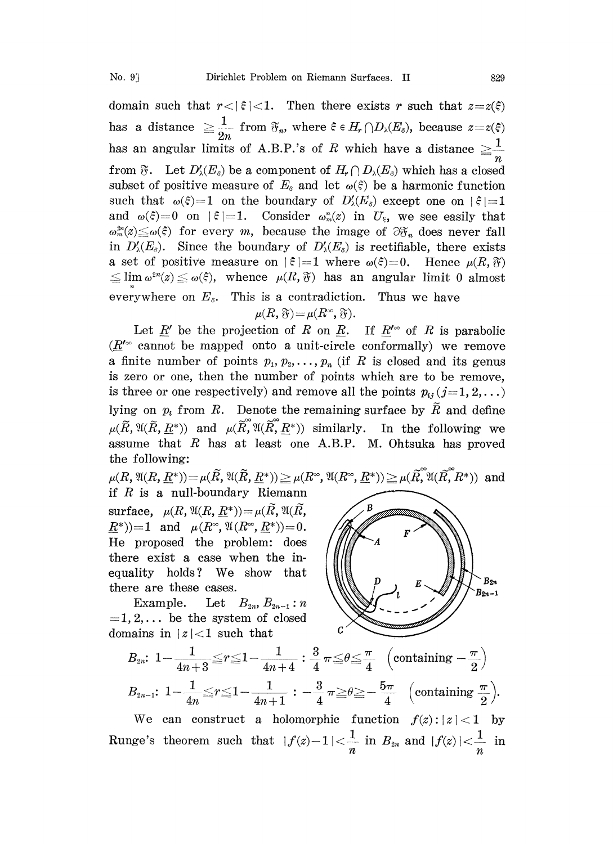domain such that  $r<|\xi|<1$ . Then there exists r such that  $z=z(\xi)$ has a distance  $\geq \frac{1}{2n}$  from  $\mathfrak{F}_n$ , where  $\xi \in H_r \cap D_\lambda(E_\delta)$ , because  $z=z(\xi)$ has an angular limits of A.B.P.'s of R which have a distance  $\geq \frac{1}{n}$ from  $\mathfrak{F}$ . Let  $D'_{\lambda}(E_{\delta})$  be a component of  $H_r \cap D_{\lambda}(E_{\delta})$  which has a closed subset of positive measure of  $E_s$  and let  $\omega(\xi)$  be a harmonic function such that  $\omega(\xi)=1$  on the boundary of  $D_{\lambda}(E_{\delta})$  except one on  $|\xi|=1$ and  $\omega(\xi)=0$  on  $|\xi|=1$ . Consider  $\omega_m(x)$  in  $U_{\xi}$ , we see easily that  $\omega_m^{2n}(z) \leq \omega(\xi)$  for every m, because the image of  $\partial \mathfrak{F}_n$  does never fall in  $D'_{\lambda}(E_{\delta})$ . Since the boundary of  $D'_{\lambda}(E_{\delta})$  is rectifiable, there exists a set of positive measure on  $|\xi|=1$  where  $\omega(\xi)=0$ . Hence  $\mu(R, \mathfrak{F})$  $\leq$  lim  $\omega^{2n}(z) \leq \omega(\xi)$ , whence  $\mu(R, \mathfrak{F})$  has an angular limit 0 almost everywhere on  $E_s$ . This is a contradiction. Thus we have

$$
\mu(R,\mathfrak{F}) = \mu(R^{\infty},\mathfrak{F}).
$$

Let  $\underline{R}'$  be the projection of  $R$  on  $\underline{R}$ . If  $\underline{R}^{\prime\infty}$  of  $R$  is parabolic  $(R^{\prime\infty}$  cannot be mapped onto a unit-circle conformally) we remove a finite number of points  $p_1, p_2, \ldots, p_n$  (if R is closed and its genus is zero or one, then the number of points which are to be remove, is three or one respectively) and remove all the points  $p_{ij}$  (j=1, 2,...) lying on  $p_i$  from R. Denote the remaining surface by  $\widetilde{R}$  and define  $\mu(\widetilde{R}, \mathfrak{A}(\widetilde{R}, \underline{R}^*))$  and  $\mu(\widetilde{R}, \mathfrak{A}(\widetilde{R}, \underline{R}^*))$  similarly. In the following we assume that  $R$  has at least one A.B.P. M. Ohtsuka has proved the following:

 $\mu(R, \mathfrak{A}(R, \underline{R}^*)) = \mu(\widetilde{R}, \mathfrak{A}(\widetilde{R}, \underline{R}^*)) \geq \mu(R^{\infty}, \mathfrak{A}(R^{\infty}, \underline{R}^*)) \geq \mu(\widetilde{R}, \mathfrak{A}(\widetilde{R}, \widetilde{R}^*))$  and if  $R$  is a null-boundary Riemann

surface,  $\mu(R, \mathfrak{A}(R, R^*)) = \mu(\tilde{R}, \mathfrak{A}(\tilde{R}, R^*))$  $(R^*)$ )=1 and  $\mu(R^*, \mathfrak{A}(R^*, \underline{R}^*))$ =0. He proposed the problem: does here exist a case when the inequality holds? We show that there are these cases,.

Example. Let  $B_{2n}, B_{2n-1}: n$  $=1, 2, \ldots$  be the system of closed domains in  $|z|<1$  such that



$$
\begin{aligned}\n\text{max in } & |z| < 1 \text{ such that} \\
B_{2n}: & 1 - \frac{1}{4n+3} \leq r \leq 1 - \frac{1}{4n+4} : \frac{3}{4} \pi \leq \theta \leq \frac{\pi}{4} \quad \left(\text{containing } - \frac{\pi}{2}\right) \\
B_{2n-1}: & 1 - \frac{1}{4n} \leq r \leq 1 - \frac{1}{4n+1} : -\frac{3}{4} \pi \geq \theta \geq -\frac{5\pi}{4} \quad \left(\text{containing } \frac{\pi}{2}\right).\n\end{aligned}
$$

We can construct a holomorphic function  $f(z): |z| < 1$  by Runge's theorem such that  $|f(z)-1|<\frac{1}{n}$  in  $B_{2n}$  and  $|f(z)|<\frac{1}{n}$  in